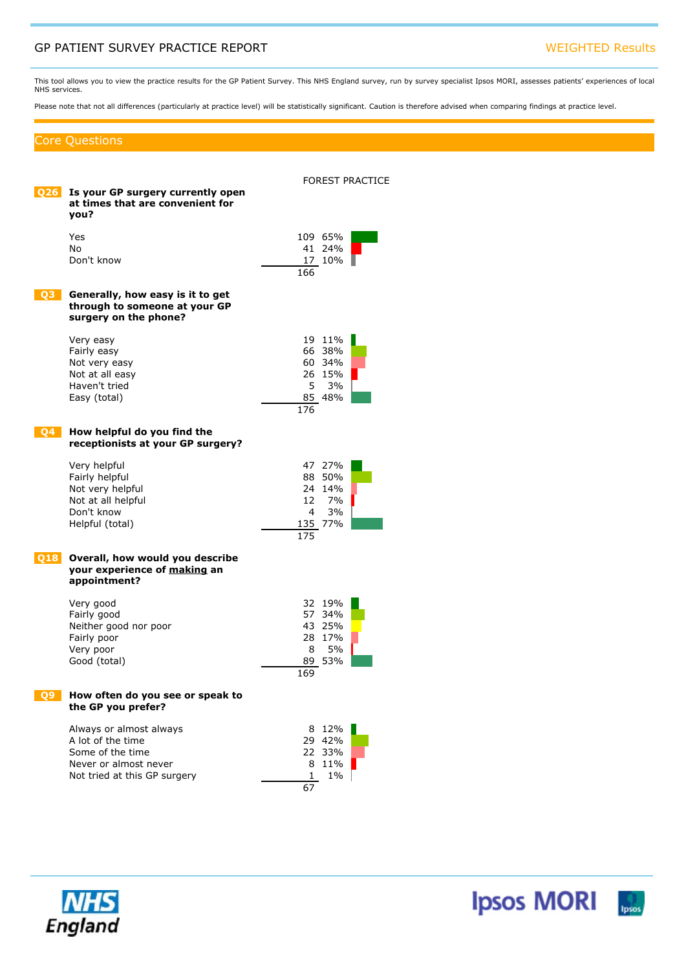# GP PATIENT SURVEY PRACTICE REPORT WEIGHTED Results

This tool allows you to view the practice results for the GP Patient Survey. This NHS England survey, run by survey specialist Ipsos MORI, assesses patients' experiences of local NHS services.

Please note that not all differences (particularly at practice level) will be statistically significant. Caution is therefore advised when comparing findings at practice level.

### Core Questions

| O26 I     | Is your GP surgery currently open<br>at times that are convenient for<br>vou?                                             | FOREST PRACTICE                                                     |
|-----------|---------------------------------------------------------------------------------------------------------------------------|---------------------------------------------------------------------|
|           | Yes<br>No.<br>Don't know                                                                                                  | 109 65%<br>41 24%<br>17 10%<br>166                                  |
| <b>O3</b> | Generally, how easy is it to get<br>through to someone at your GP<br>surgery on the phone?                                |                                                                     |
|           | Very easy<br>Fairly easy<br>Not very easy<br>Not at all easy<br>Haven't tried<br>Easy (total)                             | 19 11%<br>66 38%<br>60 34%<br>26 15%<br>5<br>3%<br>85 48%<br>176    |
| <b>Q4</b> | How helpful do you find the<br>receptionists at your GP surgery?                                                          |                                                                     |
|           | Very helpful<br>Fairly helpful<br>Not very helpful<br>Not at all helpful<br>Don't know<br>Helpful (total)                 | 47 27%<br>88 50%<br>24 14%<br>12<br>7%<br>3%<br>4<br>135 77%<br>175 |
| 018       | Overall, how would you describe<br>your experience of making an<br>appointment?                                           |                                                                     |
|           | Very good<br>Fairly good<br>Neither good nor poor<br>Fairly poor<br>Very poor<br>Good (total)                             | 32 19%<br>57 34%<br>43 25%<br>28 17%<br>5%<br>8<br>89 53%<br>169    |
|           | How often do you see or speak to<br>the GP you prefer?                                                                    |                                                                     |
|           | Always or almost always<br>A lot of the time<br>Some of the time<br>Never or almost never<br>Not tried at this GP surgery | 8 12%<br>29 42%<br>22 33%<br>11%<br>8<br>1<br>$1\%$<br>67           |

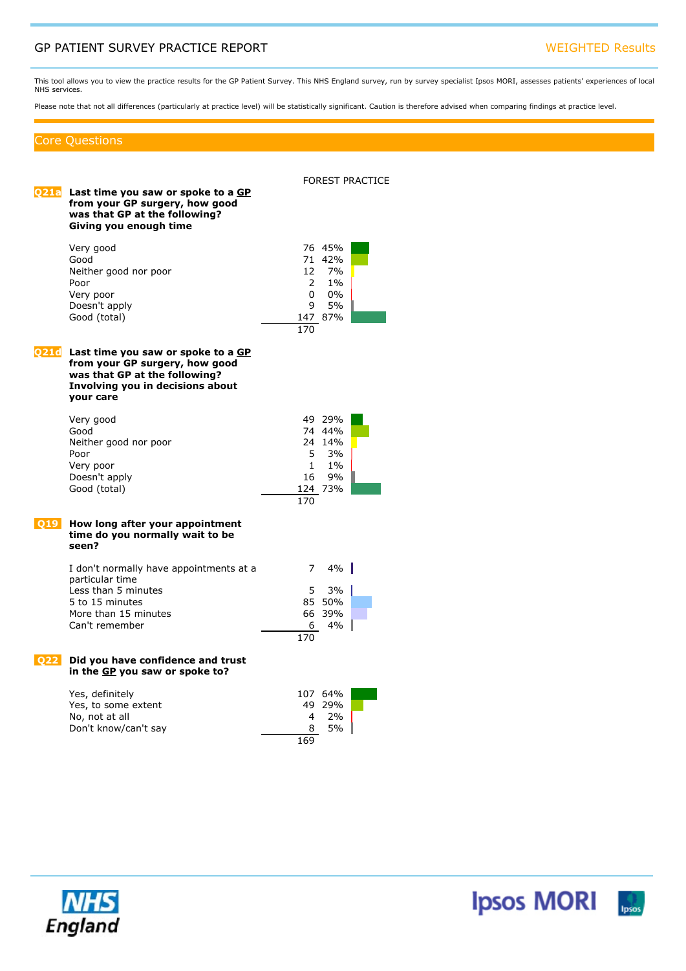# GP PATIENT SURVEY PRACTICE REPORT WEIGHTED Results

This tool allows you to view the practice results for the GP Patient Survey. This NHS England survey, run by survey specialist Ipsos MORI, assesses patients' experiences of local NHS services.

Please note that not all differences (particularly at practice level) will be statistically significant. Caution is therefore advised when comparing findings at practice level.

### Core Questions

| Q21a | Last time you saw or spoke to a GP<br>from your GP surgery, how good<br>was that GP at the following?<br>Giving you enough time                        |                                       |                                                              | <b>FOREST PRACTICE</b> |
|------|--------------------------------------------------------------------------------------------------------------------------------------------------------|---------------------------------------|--------------------------------------------------------------|------------------------|
|      | Very good<br>Good<br>Neither good nor poor<br>Poor<br>Very poor<br>Doesn't apply<br>Good (total)                                                       | $\overline{2}$<br>0<br>9<br>170       | 76 45%<br>71 42%<br>12 7%<br>$1\%$<br>$0\%$<br>5%<br>147 87% |                        |
| Q21d | Last time you saw or spoke to a GP<br>from your GP surgery, how good<br>was that GP at the following?<br>Involving you in decisions about<br>vour care |                                       |                                                              |                        |
|      | Very good<br>Good<br>Neither good nor poor<br>Poor<br>Very poor<br>Doesn't apply<br>Good (total)                                                       | 5.<br>1<br>16<br>170                  | 49 29%<br>74 44%<br>24 14%<br>3%<br>$1\%$<br>9%<br>124 73%   |                        |
| 019  | How long after your appointment<br>time do you normally wait to be<br>seen?                                                                            |                                       |                                                              |                        |
|      | I don't normally have appointments at a<br>particular time<br>Less than 5 minutes<br>5 to 15 minutes<br>More than 15 minutes<br>Can't remember         | $\overline{7}$<br>5<br>66<br>6<br>170 | 4%<br>3%<br>85 50%<br>39%<br>4%                              |                        |
| 022  | Did you have confidence and trust<br>in the GP you saw or spoke to?                                                                                    |                                       |                                                              |                        |
|      | Yes, definitely<br>Yes, to some extent<br>No, not at all<br>Don't know/can't say                                                                       | 4<br>8<br>169                         | 107 64%<br>49 29%<br>2%<br>5%                                |                        |